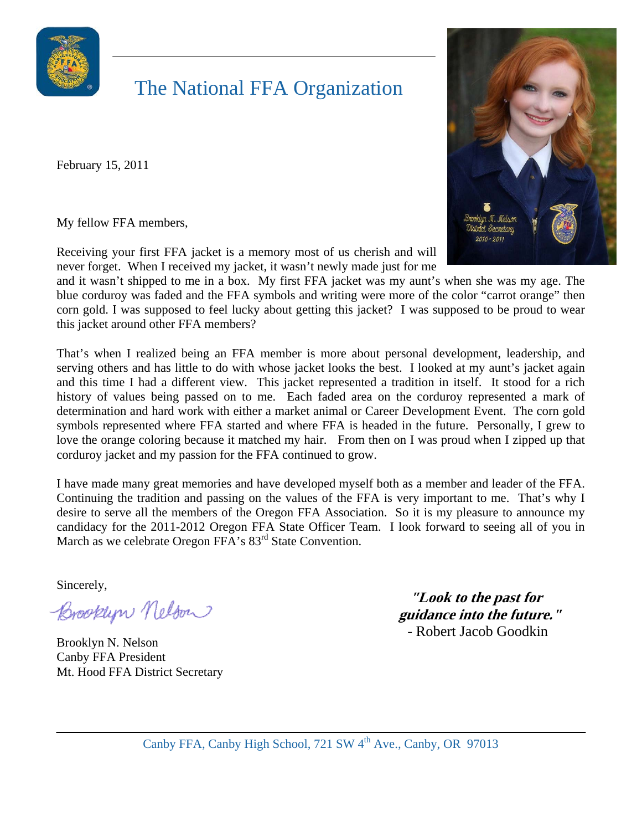

# The National FFA Organization

February 15, 2011

My fellow FFA members,

Receiving your first FFA jacket is a memory most of us cherish and will never forget. When I received my jacket, it wasn't newly made just for me

and it wasn't shipped to me in a box. My first FFA jacket was my aunt's when she was my age. The blue corduroy was faded and the FFA symbols and writing were more of the color "carrot orange" then corn gold. I was supposed to feel lucky about getting this jacket? I was supposed to be proud to wear this jacket around other FFA members?

That's when I realized being an FFA member is more about personal development, leadership, and serving others and has little to do with whose jacket looks the best. I looked at my aunt's jacket again and this time I had a different view. This jacket represented a tradition in itself. It stood for a rich history of values being passed on to me. Each faded area on the corduroy represented a mark of determination and hard work with either a market animal or Career Development Event. The corn gold symbols represented where FFA started and where FFA is headed in the future. Personally, I grew to love the orange coloring because it matched my hair. From then on I was proud when I zipped up that corduroy jacket and my passion for the FFA continued to grow.

I have made many great memories and have developed myself both as a member and leader of the FFA. Continuing the tradition and passing on the values of the FFA is very important to me. That's why I desire to serve all the members of the Oregon FFA Association. So it is my pleasure to announce my candidacy for the 2011-2012 Oregon FFA State Officer Team. I look forward to seeing all of you in March as we celebrate Oregon FFA's 83<sup>rd</sup> State Convention.

Sincerely,

Brooklyn Nelson

Brooklyn N. Nelson Canby FFA President Mt. Hood FFA District Secretary

**"Look to the past for guidance into the future."**  - Robert Jacob Goodkin